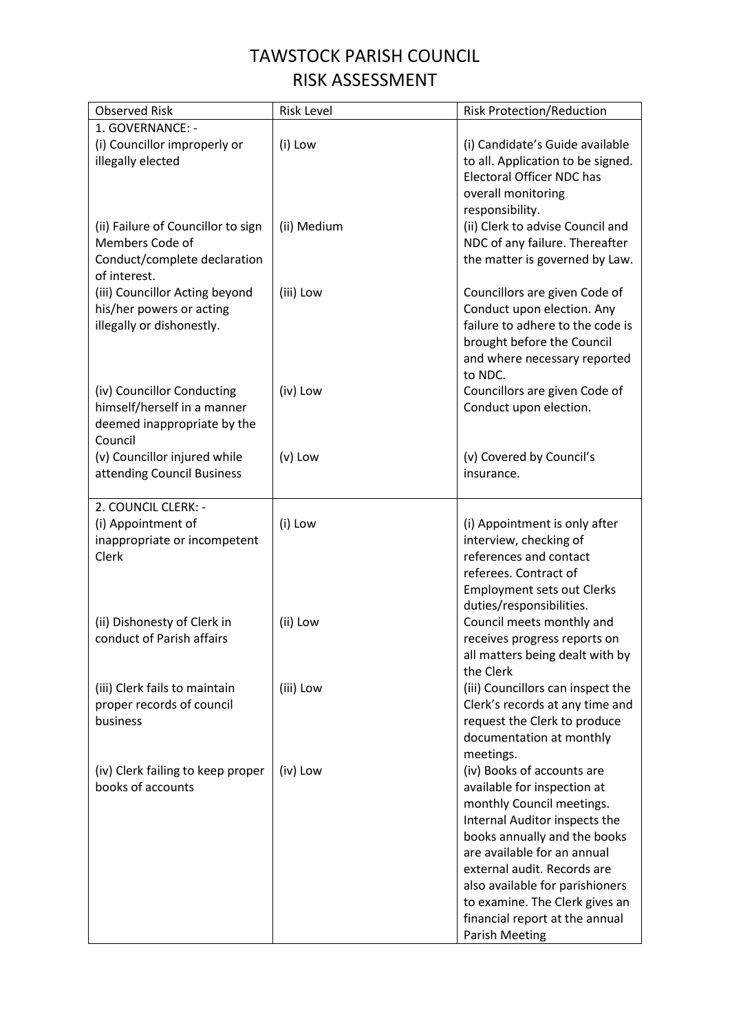## TAWSTOCK PARISH COUNCIL RISK ASSESSMENT

| <b>Observed Risk</b>                                                                                  | <b>Risk Level</b> | <b>Risk Protection/Reduction</b>                                                                                                                                                                                                                                                                                                                      |
|-------------------------------------------------------------------------------------------------------|-------------------|-------------------------------------------------------------------------------------------------------------------------------------------------------------------------------------------------------------------------------------------------------------------------------------------------------------------------------------------------------|
| 1. GOVERNANCE: -<br>(i) Councillor improperly or<br>illegally elected                                 | (i) Low           | (i) Candidate's Guide available<br>to all. Application to be signed.<br><b>Electoral Officer NDC has</b><br>overall monitoring                                                                                                                                                                                                                        |
| (ii) Failure of Councillor to sign<br>Members Code of<br>Conduct/complete declaration<br>of interest. | (ii) Medium       | responsibility.<br>(ii) Clerk to advise Council and<br>NDC of any failure. Thereafter<br>the matter is governed by Law.                                                                                                                                                                                                                               |
| (iii) Councillor Acting beyond<br>his/her powers or acting<br>illegally or dishonestly.               | (iii) Low         | Councillors are given Code of<br>Conduct upon election. Any<br>failure to adhere to the code is<br>brought before the Council<br>and where necessary reported<br>to NDC.                                                                                                                                                                              |
| (iv) Councillor Conducting<br>himself/herself in a manner<br>deemed inappropriate by the<br>Council   | (iv) Low          | Councillors are given Code of<br>Conduct upon election.                                                                                                                                                                                                                                                                                               |
| (v) Councillor injured while<br>attending Council Business                                            | $(v)$ Low         | (v) Covered by Council's<br>insurance.                                                                                                                                                                                                                                                                                                                |
| 2. COUNCIL CLERK: -<br>(i) Appointment of<br>inappropriate or incompetent<br>Clerk                    | (i) Low           | (i) Appointment is only after<br>interview, checking of<br>references and contact<br>referees. Contract of<br><b>Employment sets out Clerks</b><br>duties/responsibilities.                                                                                                                                                                           |
| (ii) Dishonesty of Clerk in<br>conduct of Parish affairs                                              | (ii) Low          | Council meets monthly and<br>receives progress reports on<br>all matters being dealt with by<br>the Clerk                                                                                                                                                                                                                                             |
| (iii) Clerk fails to maintain<br>proper records of council<br>business                                | (iii) Low         | (iii) Councillors can inspect the<br>Clerk's records at any time and<br>request the Clerk to produce<br>documentation at monthly<br>meetings.                                                                                                                                                                                                         |
| (iv) Clerk failing to keep proper<br>books of accounts                                                | (iv) Low          | (iv) Books of accounts are<br>available for inspection at<br>monthly Council meetings.<br>Internal Auditor inspects the<br>books annually and the books<br>are available for an annual<br>external audit. Records are<br>also available for parishioners<br>to examine. The Clerk gives an<br>financial report at the annual<br><b>Parish Meeting</b> |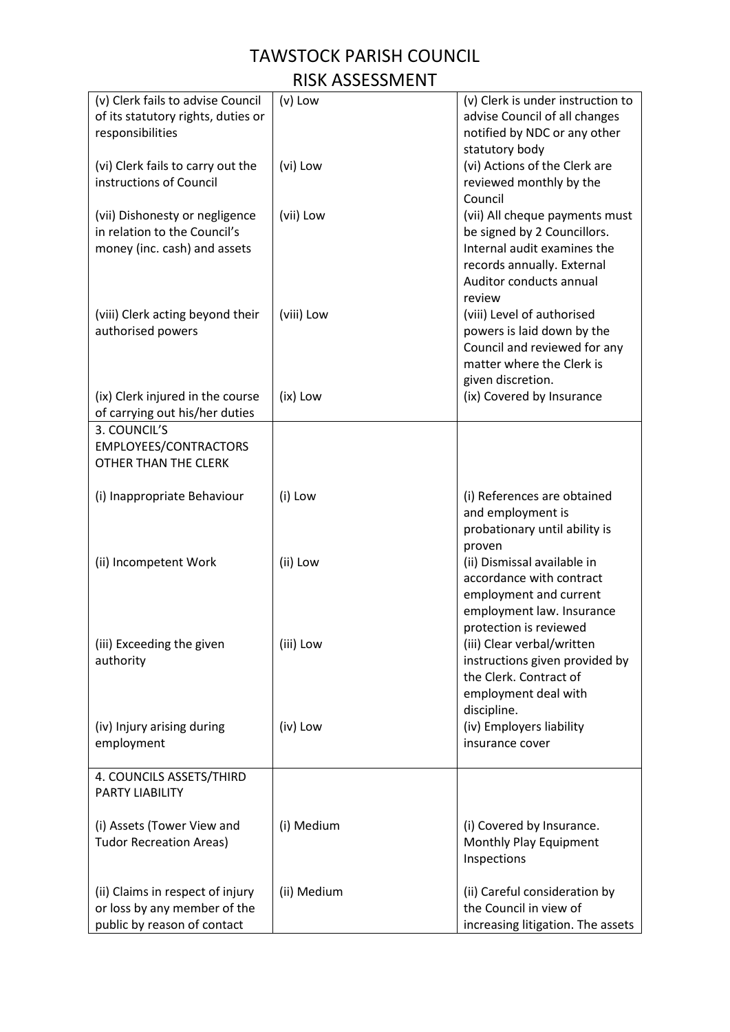## TAWSTOCK PARISH COUNCIL RISK ASSESSMENT

| (v) Clerk fails to advise Council<br>of its statutory rights, duties or<br>responsibilities     | $(v)$ Low   | (v) Clerk is under instruction to<br>advise Council of all changes<br>notified by NDC or any other<br>statutory body                                            |
|-------------------------------------------------------------------------------------------------|-------------|-----------------------------------------------------------------------------------------------------------------------------------------------------------------|
| (vi) Clerk fails to carry out the<br>instructions of Council                                    | (vi) Low    | (vi) Actions of the Clerk are<br>reviewed monthly by the<br>Council                                                                                             |
| (vii) Dishonesty or negligence<br>in relation to the Council's<br>money (inc. cash) and assets  | (vii) Low   | (vii) All cheque payments must<br>be signed by 2 Councillors.<br>Internal audit examines the<br>records annually. External<br>Auditor conducts annual<br>review |
| (viii) Clerk acting beyond their<br>authorised powers                                           | (viii) Low  | (viii) Level of authorised<br>powers is laid down by the<br>Council and reviewed for any<br>matter where the Clerk is<br>given discretion.                      |
| (ix) Clerk injured in the course<br>of carrying out his/her duties                              | (ix) Low    | (ix) Covered by Insurance                                                                                                                                       |
| 3. COUNCIL'S<br>EMPLOYEES/CONTRACTORS<br>OTHER THAN THE CLERK                                   |             |                                                                                                                                                                 |
| (i) Inappropriate Behaviour                                                                     | (i) Low     | (i) References are obtained<br>and employment is<br>probationary until ability is<br>proven                                                                     |
| (ii) Incompetent Work                                                                           | (ii) Low    | (ii) Dismissal available in<br>accordance with contract<br>employment and current<br>employment law. Insurance<br>protection is reviewed                        |
| (iii) Exceeding the given<br>authority                                                          | (iii) Low   | (iii) Clear verbal/written<br>instructions given provided by<br>the Clerk. Contract of<br>employment deal with<br>discipline.                                   |
| (iv) Injury arising during<br>employment                                                        | (iv) Low    | (iv) Employers liability<br>insurance cover                                                                                                                     |
| 4. COUNCILS ASSETS/THIRD<br>PARTY LIABILITY                                                     |             |                                                                                                                                                                 |
| (i) Assets (Tower View and<br><b>Tudor Recreation Areas)</b>                                    | (i) Medium  | (i) Covered by Insurance.<br>Monthly Play Equipment<br>Inspections                                                                                              |
| (ii) Claims in respect of injury<br>or loss by any member of the<br>public by reason of contact | (ii) Medium | (ii) Careful consideration by<br>the Council in view of<br>increasing litigation. The assets                                                                    |